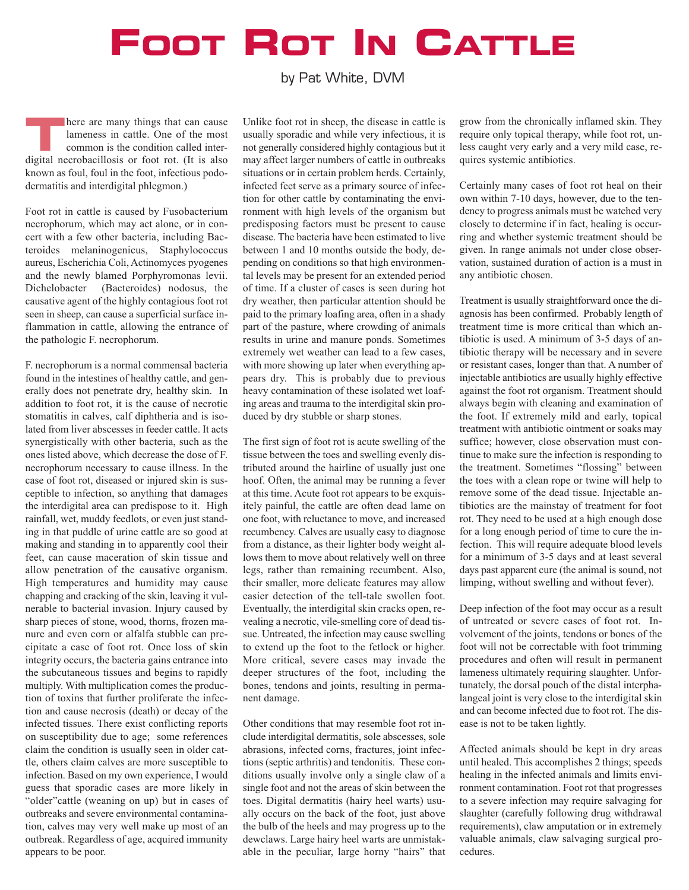## **FOOT ROT IN CATTLE**

by Pat White, DVM

**THERE ARE SET ASSESS** in cattle. One of the most<br>common is the condition called inter-<br>distillation for the state of the inclusion lameness in cattle. One of the most common is the condition called interdigital necrobacillosis or foot rot. (It is also known as foul, foul in the foot, infectious pododermatitis and interdigital phlegmon.)

Foot rot in cattle is caused by Fusobacterium necrophorum, which may act alone, or in concert with a few other bacteria, including Bacteroides melaninogenicus, Staphylococcus aureus, Escherichia Coli, Actinomyces pyogenes and the newly blamed Porphyromonas levii. Dichelobacter (Bacteroides) nodosus, the causative agent of the highly contagious foot rot seen in sheep, can cause a superficial surface inflammation in cattle, allowing the entrance of the pathologic F. necrophorum.

F. necrophorum is a normal commensal bacteria found in the intestines of healthy cattle, and generally does not penetrate dry, healthy skin. In addition to foot rot, it is the cause of necrotic stomatitis in calves, calf diphtheria and is isolated from liver abscesses in feeder cattle. It acts synergistically with other bacteria, such as the ones listed above, which decrease the dose of F. necrophorum necessary to cause illness. In the case of foot rot, diseased or injured skin is susceptible to infection, so anything that damages the interdigital area can predispose to it. High rainfall, wet, muddy feedlots, or even just standing in that puddle of urine cattle are so good at making and standing in to apparently cool their feet, can cause maceration of skin tissue and allow penetration of the causative organism. High temperatures and humidity may cause chapping and cracking of the skin, leaving it vulnerable to bacterial invasion. Injury caused by sharp pieces of stone, wood, thorns, frozen manure and even corn or alfalfa stubble can precipitate a case of foot rot. Once loss of skin integrity occurs, the bacteria gains entrance into the subcutaneous tissues and begins to rapidly multiply. With multiplication comes the production of toxins that further proliferate the infection and cause necrosis (death) or decay of the infected tissues. There exist conflicting reports on susceptibility due to age; some references claim the condition is usually seen in older cattle, others claim calves are more susceptible to infection. Based on my own experience, I would guess that sporadic cases are more likely in "older"cattle (weaning on up) but in cases of outbreaks and severe environmental contamination, calves may very well make up most of an outbreak. Regardless of age, acquired immunity appears to be poor.

Unlike foot rot in sheep, the disease in cattle is usually sporadic and while very infectious, it is not generally considered highly contagious but it may affect larger numbers of cattle in outbreaks situations or in certain problem herds. Certainly, infected feet serve as a primary source of infection for other cattle by contaminating the environment with high levels of the organism but predisposing factors must be present to cause disease. The bacteria have been estimated to live between 1 and 10 months outside the body, depending on conditions so that high environmental levels may be present for an extended period of time. If a cluster of cases is seen during hot dry weather, then particular attention should be paid to the primary loafing area, often in a shady part of the pasture, where crowding of animals results in urine and manure ponds. Sometimes extremely wet weather can lead to a few cases, with more showing up later when everything appears dry. This is probably due to previous heavy contamination of these isolated wet loafing areas and trauma to the interdigital skin produced by dry stubble or sharp stones.

The first sign of foot rot is acute swelling of the tissue between the toes and swelling evenly distributed around the hairline of usually just one hoof. Often, the animal may be running a fever at this time. Acute foot rot appears to be exquisitely painful, the cattle are often dead lame on one foot, with reluctance to move, and increased recumbency. Calves are usually easy to diagnose from a distance, as their lighter body weight allows them to move about relatively well on three legs, rather than remaining recumbent. Also, their smaller, more delicate features may allow easier detection of the tell-tale swollen foot. Eventually, the interdigital skin cracks open, revealing a necrotic, vile-smelling core of dead tissue. Untreated, the infection may cause swelling to extend up the foot to the fetlock or higher. More critical, severe cases may invade the deeper structures of the foot, including the bones, tendons and joints, resulting in permanent damage.

Other conditions that may resemble foot rot include interdigital dermatitis, sole abscesses, sole abrasions, infected corns, fractures, joint infections (septic arthritis) and tendonitis. These conditions usually involve only a single claw of a single foot and not the areas of skin between the toes. Digital dermatitis (hairy heel warts) usually occurs on the back of the foot, just above the bulb of the heels and may progress up to the dewclaws. Large hairy heel warts are unmistakable in the peculiar, large horny "hairs" that

grow from the chronically inflamed skin. They require only topical therapy, while foot rot, unless caught very early and a very mild case, requires systemic antibiotics.

Certainly many cases of foot rot heal on their own within 7-10 days, however, due to the tendency to progress animals must be watched very closely to determine if in fact, healing is occurring and whether systemic treatment should be given. In range animals not under close observation, sustained duration of action is a must in any antibiotic chosen.

Treatment is usually straightforward once the diagnosis has been confirmed. Probably length of treatment time is more critical than which antibiotic is used. A minimum of 3-5 days of antibiotic therapy will be necessary and in severe or resistant cases, longer than that. A number of injectable antibiotics are usually highly effective against the foot rot organism. Treatment should always begin with cleaning and examination of the foot. If extremely mild and early, topical treatment with antibiotic ointment or soaks may suffice; however, close observation must continue to make sure the infection is responding to the treatment. Sometimes "flossing" between the toes with a clean rope or twine will help to remove some of the dead tissue. Injectable antibiotics are the mainstay of treatment for foot rot. They need to be used at a high enough dose for a long enough period of time to cure the infection. This will require adequate blood levels for a minimum of 3-5 days and at least several days past apparent cure (the animal is sound, not limping, without swelling and without fever).

Deep infection of the foot may occur as a result of untreated or severe cases of foot rot. Involvement of the joints, tendons or bones of the foot will not be correctable with foot trimming procedures and often will result in permanent lameness ultimately requiring slaughter. Unfortunately, the dorsal pouch of the distal interphalangeal joint is very close to the interdigital skin and can become infected due to foot rot. The disease is not to be taken lightly.

Affected animals should be kept in dry areas until healed. This accomplishes 2 things; speeds healing in the infected animals and limits environment contamination. Foot rot that progresses to a severe infection may require salvaging for slaughter (carefully following drug withdrawal requirements), claw amputation or in extremely valuable animals, claw salvaging surgical procedures.